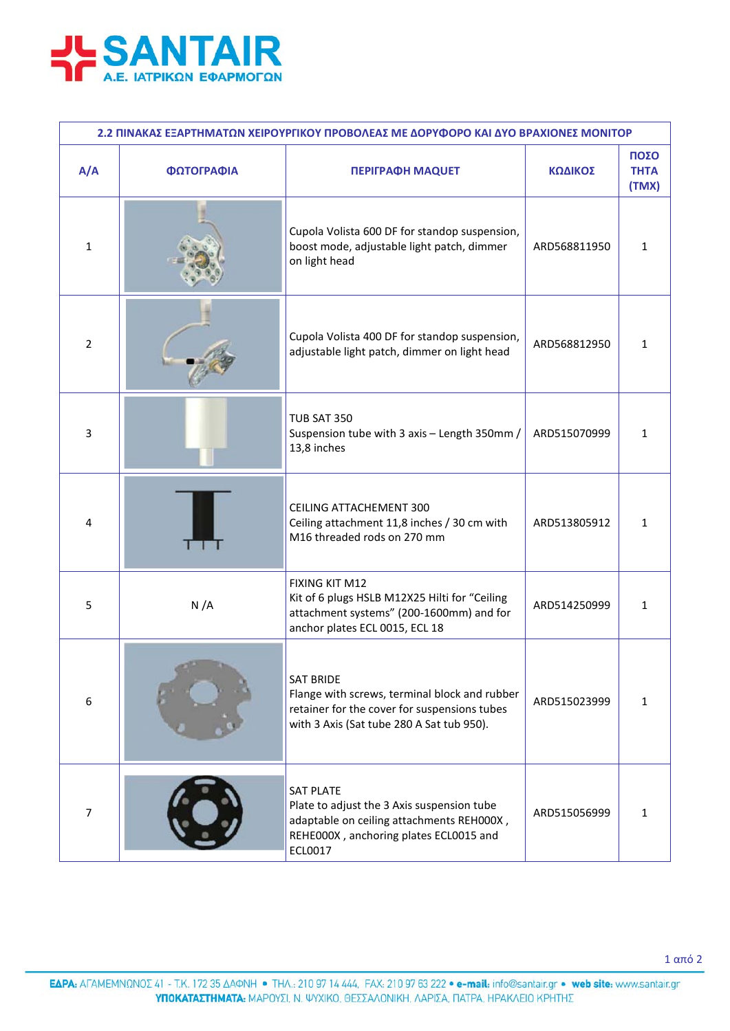

| 2.2 ΠΙΝΑΚΑΣ ΕΞΑΡΤΗΜΑΤΩΝ ΧΕΙΡΟΥΡΓΙΚΟΥ ΠΡΟΒΟΛΕΑΣ ΜΕ ΔΟΡΥΦΟΡΟ ΚΑΙ ΔΥΟ ΒΡΑΧΙΟΝΕΣ ΜΟΝΙΤΟΡ |            |                                                                                                                                                                  |              |                              |  |  |  |
|--------------------------------------------------------------------------------------|------------|------------------------------------------------------------------------------------------------------------------------------------------------------------------|--------------|------------------------------|--|--|--|
| A/A                                                                                  | ΦΩΤΟΓΡΑΦΙΑ | <b>ΠΕΡΙΓΡΑΦΗ ΜΑQUET</b>                                                                                                                                          | ΚΩΔΙΚΟΣ      | ΠΟΣΟ<br><b>THTA</b><br>(TMX) |  |  |  |
| 1                                                                                    |            | Cupola Volista 600 DF for standop suspension,<br>boost mode, adjustable light patch, dimmer<br>on light head                                                     | ARD568811950 | $\mathbf{1}$                 |  |  |  |
| 2                                                                                    |            | Cupola Volista 400 DF for standop suspension,<br>adjustable light patch, dimmer on light head                                                                    | ARD568812950 | 1                            |  |  |  |
| 3                                                                                    |            | <b>TUB SAT 350</b><br>Suspension tube with 3 axis - Length 350mm /<br>13,8 inches                                                                                | ARD515070999 | $\mathbf{1}$                 |  |  |  |
| 4                                                                                    |            | <b>CEILING ATTACHEMENT 300</b><br>Ceiling attachment 11,8 inches / 30 cm with<br>M16 threaded rods on 270 mm                                                     | ARD513805912 | 1                            |  |  |  |
| 5                                                                                    | N/A        | <b>FIXING KIT M12</b><br>Kit of 6 plugs HSLB M12X25 Hilti for "Ceiling<br>attachment systems" (200-1600mm) and for<br>anchor plates ECL 0015, ECL 18             | ARD514250999 | 1                            |  |  |  |
| 6                                                                                    |            | <b>SAT BRIDE</b><br>Flange with screws, terminal block and rubber<br>retainer for the cover for suspensions tubes<br>with 3 Axis (Sat tube 280 A Sat tub 950).   | ARD515023999 | $\mathbf{1}$                 |  |  |  |
| $\overline{7}$                                                                       |            | <b>SAT PLATE</b><br>Plate to adjust the 3 Axis suspension tube<br>adaptable on ceiling attachments REH000X,<br>REHE000X, anchoring plates ECL0015 and<br>ECL0017 | ARD515056999 | 1                            |  |  |  |